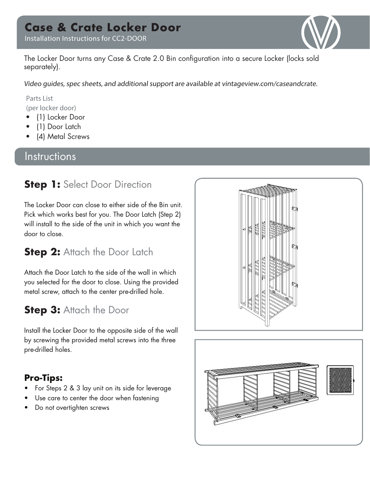# **Case & Crate Locker Door**

Installation Instructions for CC2-DOOR



The Locker Door turns any Case & Crate 2.0 Bin configuration into a secure Locker (locks sold separately).

Video guides, spec sheets, and additional support are available at vintageview.com/caseandcrate.

Parts List (per locker door)

- (1) Locker Door
- (1) Door Latch
- (4) Metal Screws

#### **Instructions**

### **Step 1:** Select Door Direction

The Locker Door can close to either side of the Bin unit. Pick which works best for you. The Door Latch (Step 2) will install to the side of the unit in which you want the door to close.

## **Step 2: Attach the Door Latch**

Attach the Door Latch to the side of the wall in which you selected for the door to close. Using the provided metal screw, attach to the center pre-drilled hole.

## **Step 3: Attach the Door**

Install the Locker Door to the opposite side of the wall by screwing the provided metal screws into the three pre-drilled holes.

#### **Pro-Tips:**

- For Steps 2 & 3 lay unit on its side for leverage
- Use care to center the door when fastening
- Do not overtighten screws